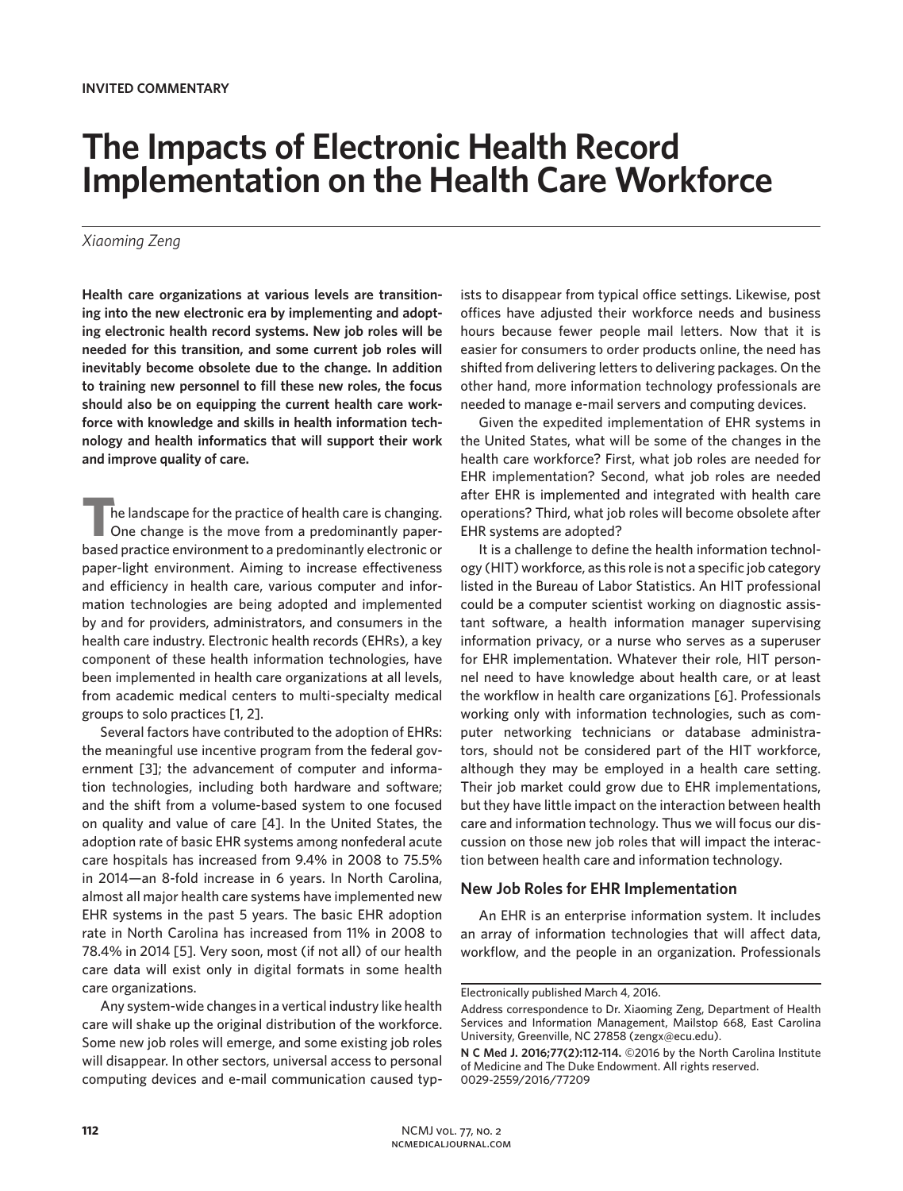# **The Impacts of Electronic Health Record Implementation on the Health Care Workforce**

## *Xiaoming Zeng*

**Health care organizations at various levels are transitioning into the new electronic era by implementing and adopting electronic health record systems. New job roles will be needed for this transition, and some current job roles will inevitably become obsolete due to the change. In addition to training new personnel to fill these new roles, the focus should also be on equipping the current health care workforce with knowledge and skills in health information technology and health informatics that will support their work and improve quality of care.** 

**T**he landscape for the practice of health care is changing. One change is the move from a predominantly paperbased practice environment to a predominantly electronic or paper-light environment. Aiming to increase effectiveness and efficiency in health care, various computer and information technologies are being adopted and implemented by and for providers, administrators, and consumers in the health care industry. Electronic health records (EHRs), a key component of these health information technologies, have been implemented in health care organizations at all levels, from academic medical centers to multi-specialty medical groups to solo practices [1, 2].

Several factors have contributed to the adoption of EHRs: the meaningful use incentive program from the federal government [3]; the advancement of computer and information technologies, including both hardware and software; and the shift from a volume-based system to one focused on quality and value of care [4]. In the United States, the adoption rate of basic EHR systems among nonfederal acute care hospitals has increased from 9.4% in 2008 to 75.5% in 2014—an 8-fold increase in 6 years. In North Carolina, almost all major health care systems have implemented new EHR systems in the past 5 years. The basic EHR adoption rate in North Carolina has increased from 11% in 2008 to 78.4% in 2014 [5]. Very soon, most (if not all) of our health care data will exist only in digital formats in some health care organizations.

Any system-wide changes in a vertical industry like health care will shake up the original distribution of the workforce. Some new job roles will emerge, and some existing job roles will disappear. In other sectors, universal access to personal computing devices and e-mail communication caused typists to disappear from typical office settings. Likewise, post offices have adjusted their workforce needs and business hours because fewer people mail letters. Now that it is easier for consumers to order products online, the need has shifted from delivering letters to delivering packages. On the other hand, more information technology professionals are needed to manage e-mail servers and computing devices.

Given the expedited implementation of EHR systems in the United States, what will be some of the changes in the health care workforce? First, what job roles are needed for EHR implementation? Second, what job roles are needed after EHR is implemented and integrated with health care operations? Third, what job roles will become obsolete after EHR systems are adopted?

It is a challenge to define the health information technology (HIT) workforce, as this role is not a specific job category listed in the Bureau of Labor Statistics. An HIT professional could be a computer scientist working on diagnostic assistant software, a health information manager supervising information privacy, or a nurse who serves as a superuser for EHR implementation. Whatever their role, HIT personnel need to have knowledge about health care, or at least the workflow in health care organizations [6]. Professionals working only with information technologies, such as computer networking technicians or database administrators, should not be considered part of the HIT workforce, although they may be employed in a health care setting. Their job market could grow due to EHR implementations, but they have little impact on the interaction between health care and information technology. Thus we will focus our discussion on those new job roles that will impact the interaction between health care and information technology.

## **New Job Roles for EHR Implementation**

An EHR is an enterprise information system. It includes an array of information technologies that will affect data, workflow, and the people in an organization. Professionals

Electronically published March 4, 2016.

Address correspondence to Dr. Xiaoming Zeng, Department of Health Services and Information Management, Mailstop 668, East Carolina University, Greenville, NC 27858 (zengx@ecu.edu).

**N C Med J. 2016;77(2):112-114.** ©2016 by the North Carolina Institute of Medicine and The Duke Endowment. All rights reserved. 0029-2559/2016/77209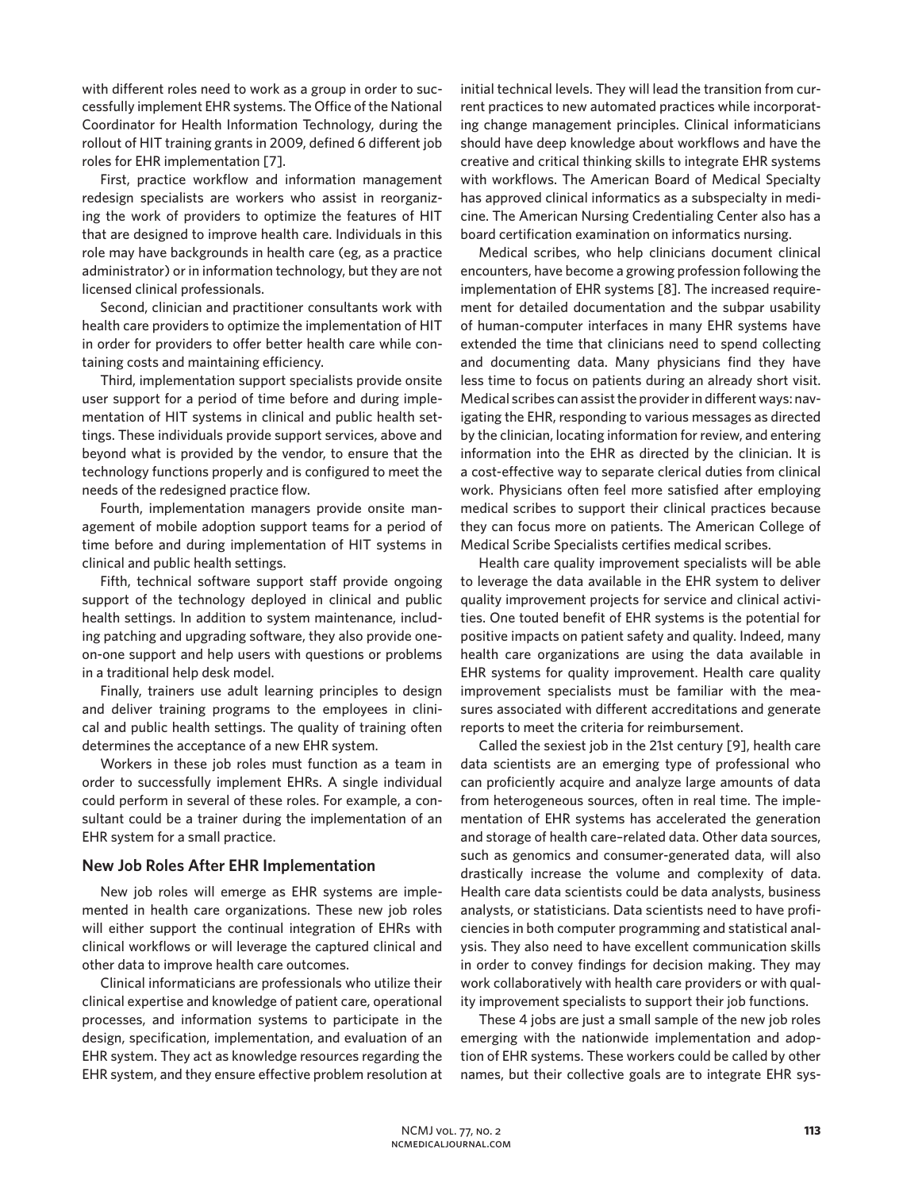with different roles need to work as a group in order to successfully implement EHR systems. The Office of the National Coordinator for Health Information Technology, during the rollout of HIT training grants in 2009, defined 6 different job roles for EHR implementation [7].

First, practice workflow and information management redesign specialists are workers who assist in reorganizing the work of providers to optimize the features of HIT that are designed to improve health care. Individuals in this role may have backgrounds in health care (eg, as a practice administrator) or in information technology, but they are not licensed clinical professionals.

Second, clinician and practitioner consultants work with health care providers to optimize the implementation of HIT in order for providers to offer better health care while containing costs and maintaining efficiency.

Third, implementation support specialists provide onsite user support for a period of time before and during implementation of HIT systems in clinical and public health settings. These individuals provide support services, above and beyond what is provided by the vendor, to ensure that the technology functions properly and is configured to meet the needs of the redesigned practice flow.

Fourth, implementation managers provide onsite management of mobile adoption support teams for a period of time before and during implementation of HIT systems in clinical and public health settings.

Fifth, technical software support staff provide ongoing support of the technology deployed in clinical and public health settings. In addition to system maintenance, including patching and upgrading software, they also provide oneon-one support and help users with questions or problems in a traditional help desk model.

Finally, trainers use adult learning principles to design and deliver training programs to the employees in clinical and public health settings. The quality of training often determines the acceptance of a new EHR system.

Workers in these job roles must function as a team in order to successfully implement EHRs. A single individual could perform in several of these roles. For example, a consultant could be a trainer during the implementation of an EHR system for a small practice.

# **New Job Roles After EHR Implementation**

New job roles will emerge as EHR systems are implemented in health care organizations. These new job roles will either support the continual integration of EHRs with clinical workflows or will leverage the captured clinical and other data to improve health care outcomes.

Clinical informaticians are professionals who utilize their clinical expertise and knowledge of patient care, operational processes, and information systems to participate in the design, specification, implementation, and evaluation of an EHR system. They act as knowledge resources regarding the EHR system, and they ensure effective problem resolution at initial technical levels. They will lead the transition from current practices to new automated practices while incorporating change management principles. Clinical informaticians should have deep knowledge about workflows and have the creative and critical thinking skills to integrate EHR systems with workflows. The American Board of Medical Specialty has approved clinical informatics as a subspecialty in medicine. The American Nursing Credentialing Center also has a board certification examination on informatics nursing.

Medical scribes, who help clinicians document clinical encounters, have become a growing profession following the implementation of EHR systems [8]. The increased requirement for detailed documentation and the subpar usability of human-computer interfaces in many EHR systems have extended the time that clinicians need to spend collecting and documenting data. Many physicians find they have less time to focus on patients during an already short visit. Medical scribes can assist the provider in different ways: navigating the EHR, responding to various messages as directed by the clinician, locating information for review, and entering information into the EHR as directed by the clinician. It is a cost-effective way to separate clerical duties from clinical work. Physicians often feel more satisfied after employing medical scribes to support their clinical practices because they can focus more on patients. The American College of Medical Scribe Specialists certifies medical scribes.

Health care quality improvement specialists will be able to leverage the data available in the EHR system to deliver quality improvement projects for service and clinical activities. One touted benefit of EHR systems is the potential for positive impacts on patient safety and quality. Indeed, many health care organizations are using the data available in EHR systems for quality improvement. Health care quality improvement specialists must be familiar with the measures associated with different accreditations and generate reports to meet the criteria for reimbursement.

Called the sexiest job in the 21st century [9], health care data scientists are an emerging type of professional who can proficiently acquire and analyze large amounts of data from heterogeneous sources, often in real time. The implementation of EHR systems has accelerated the generation and storage of health care–related data. Other data sources, such as genomics and consumer-generated data, will also drastically increase the volume and complexity of data. Health care data scientists could be data analysts, business analysts, or statisticians. Data scientists need to have proficiencies in both computer programming and statistical analysis. They also need to have excellent communication skills in order to convey findings for decision making. They may work collaboratively with health care providers or with quality improvement specialists to support their job functions.

These 4 jobs are just a small sample of the new job roles emerging with the nationwide implementation and adoption of EHR systems. These workers could be called by other names, but their collective goals are to integrate EHR sys